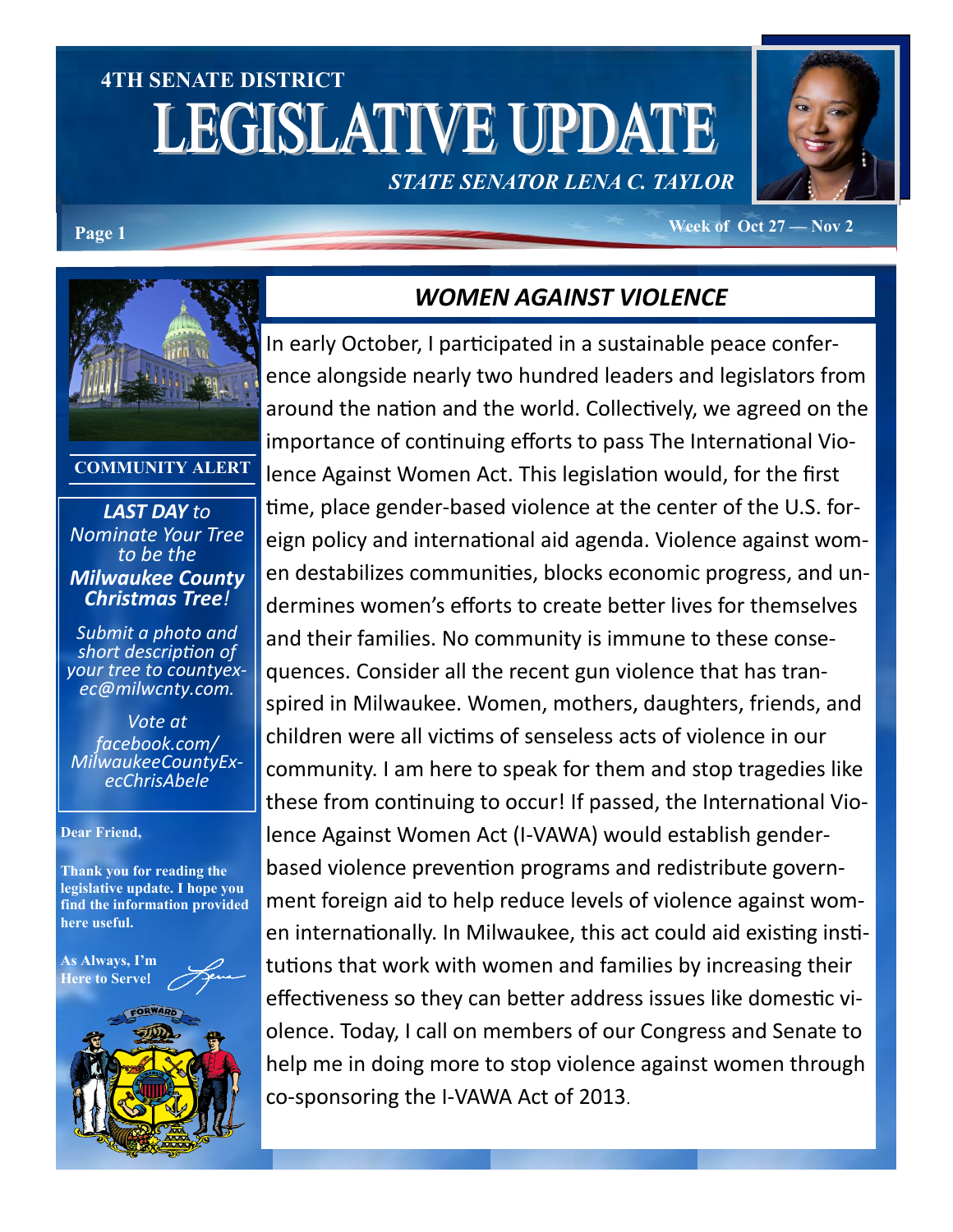# **4TH SENATE DISTRICT LEGISLATIVE UPDATE** *STATE SENATOR LENA C. TAYLOR*



#### **Page 1 Week of Oct 27 — Nov 2**



**COMMUNITY ALERT**

*LAST DAY to Nominate Your Tree to be the Milwaukee County Christmas Tree!*

*Submit a photo and short description of your tree to countyexec@milwcnty.com.*

*Vote at facebook.com/ MilwaukeeCountyExecChrisAbele*

#### **Dear Friend,**

**Thank you for reading the legislative update. I hope you find the information provided here useful.**

**As Always, I'm Here to Serve**!



### *WOMEN AGAINST VIOLENCE*

In early October, I participated in a sustainable peace conference alongside nearly two hundred leaders and legislators from around the nation and the world. Collectively, we agreed on the importance of continuing efforts to pass The International Violence Against Women Act. This legislation would, for the first time, place gender-based violence at the center of the U.S. foreign policy and international aid agenda. Violence against women destabilizes communities, blocks economic progress, and undermines women's efforts to create better lives for themselves and their families. No community is immune to these consequences. Consider all the recent gun violence that has transpired in Milwaukee. Women, mothers, daughters, friends, and children were all victims of senseless acts of violence in our community. I am here to speak for them and stop tragedies like these from continuing to occur! If passed, the International Violence Against Women Act (I-VAWA) would establish genderbased violence prevention programs and redistribute government foreign aid to help reduce levels of violence against women internationally. In Milwaukee, this act could aid existing institutions that work with women and families by increasing their effectiveness so they can better address issues like domestic violence. Today, I call on members of our Congress and Senate to help me in doing more to stop violence against women through co-sponsoring the I-VAWA Act of 2013.